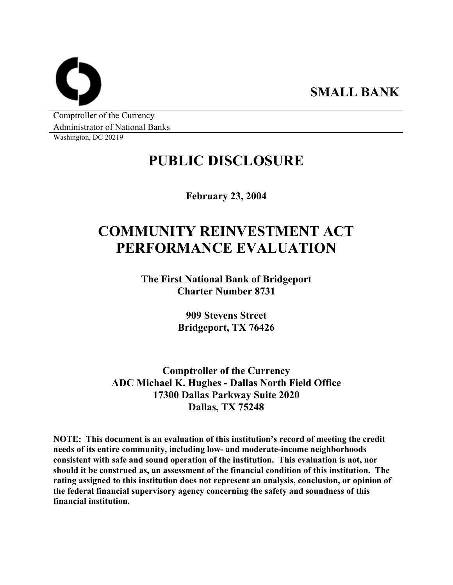**SMALL BANK** 

Comptroller of the Currency Administrator of National Banks

Washington, DC 20219

## **PUBLIC DISCLOSURE**

**February 23, 2004** 

# **COMMUNITY REINVESTMENT ACT PERFORMANCE EVALUATION**

**The First National Bank of Bridgeport Charter Number 8731** 

> **909 Stevens Street Bridgeport, TX 76426**

**Comptroller of the Currency ADC Michael K. Hughes - Dallas North Field Office 17300 Dallas Parkway Suite 2020 Dallas, TX 75248** 

**NOTE: This document is an evaluation of this institution's record of meeting the credit needs of its entire community, including low- and moderate-income neighborhoods consistent with safe and sound operation of the institution. This evaluation is not, nor should it be construed as, an assessment of the financial condition of this institution. The rating assigned to this institution does not represent an analysis, conclusion, or opinion of the federal financial supervisory agency concerning the safety and soundness of this financial institution.**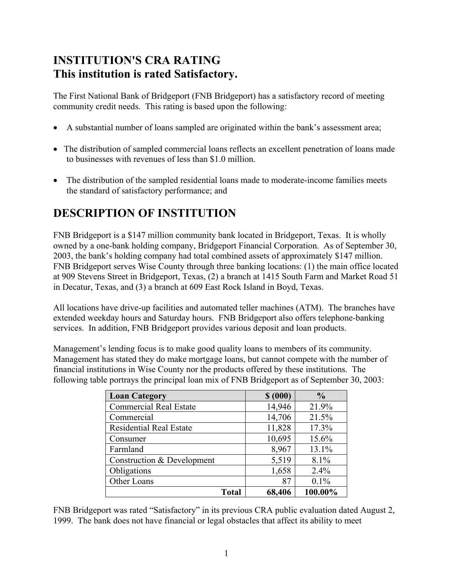### **INSTITUTION'S CRA RATING This institution is rated Satisfactory.**

The First National Bank of Bridgeport (FNB Bridgeport) has a satisfactory record of meeting community credit needs. This rating is based upon the following:

- A substantial number of loans sampled are originated within the bank's assessment area;
- The distribution of sampled commercial loans reflects an excellent penetration of loans made to businesses with revenues of less than \$1.0 million.
- The distribution of the sampled residential loans made to moderate-income families meets the standard of satisfactory performance; and

### **DESCRIPTION OF INSTITUTION**

FNB Bridgeport is a \$147 million community bank located in Bridgeport, Texas. It is wholly owned by a one-bank holding company, Bridgeport Financial Corporation. As of September 30, 2003, the bank's holding company had total combined assets of approximately \$147 million. FNB Bridgeport serves Wise County through three banking locations: (1) the main office located at 909 Stevens Street in Bridgeport, Texas, (2) a branch at 1415 South Farm and Market Road 51 in Decatur, Texas, and (3) a branch at 609 East Rock Island in Boyd, Texas.

All locations have drive-up facilities and automated teller machines (ATM). The branches have extended weekday hours and Saturday hours. FNB Bridgeport also offers telephone-banking services. In addition, FNB Bridgeport provides various deposit and loan products.

Management's lending focus is to make good quality loans to members of its community. Management has stated they do make mortgage loans, but cannot compete with the number of financial institutions in Wise County nor the products offered by these institutions. The following table portrays the principal loan mix of FNB Bridgeport as of September 30, 2003:

| <b>Loan Category</b>           | \$ (000) | $\frac{0}{0}$ |
|--------------------------------|----------|---------------|
| <b>Commercial Real Estate</b>  | 14,946   | 21.9%         |
| Commercial                     | 14,706   | 21.5%         |
| <b>Residential Real Estate</b> | 11,828   | 17.3%         |
| Consumer                       | 10,695   | 15.6%         |
| Farmland                       | 8,967    | 13.1%         |
| Construction & Development     | 5,519    | 8.1%          |
| Obligations                    | 1,658    | 2.4%          |
| Other Loans                    | 87       | 0.1%          |
| Total                          | 68,406   | 100.00%       |

FNB Bridgeport was rated "Satisfactory" in its previous CRA public evaluation dated August 2, 1999. The bank does not have financial or legal obstacles that affect its ability to meet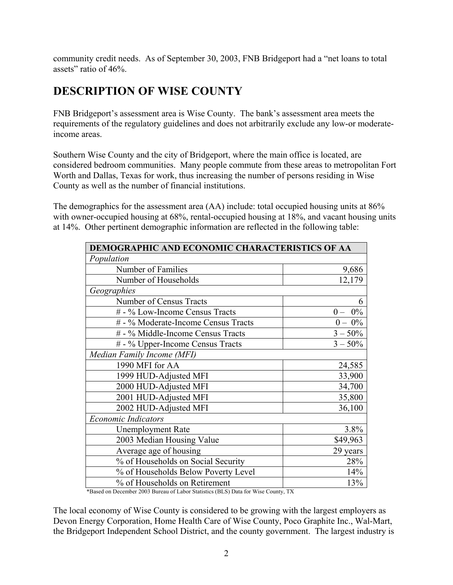community credit needs. As of September 30, 2003, FNB Bridgeport had a "net loans to total assets" ratio of 46%.

### **DESCRIPTION OF WISE COUNTY**

FNB Bridgeport's assessment area is Wise County. The bank's assessment area meets the requirements of the regulatory guidelines and does not arbitrarily exclude any low-or moderateincome areas.

Southern Wise County and the city of Bridgeport, where the main office is located, are considered bedroom communities. Many people commute from these areas to metropolitan Fort Worth and Dallas, Texas for work, thus increasing the number of persons residing in Wise County as well as the number of financial institutions.

The demographics for the assessment area (AA) include: total occupied housing units at 86% with owner-occupied housing at 68%, rental-occupied housing at 18%, and vacant housing units at 14%. Other pertinent demographic information are reflected in the following table:

| DEMOGRAPHIC AND ECONOMIC CHARACTERISTICS OF AA |            |  |  |  |  |  |
|------------------------------------------------|------------|--|--|--|--|--|
| Population                                     |            |  |  |  |  |  |
| Number of Families                             | 9,686      |  |  |  |  |  |
| Number of Households                           | 12,179     |  |  |  |  |  |
| Geographies                                    |            |  |  |  |  |  |
| Number of Census Tracts                        | 6          |  |  |  |  |  |
| # - % Low-Income Census Tracts                 | $0 - 0\%$  |  |  |  |  |  |
| # - % Moderate-Income Census Tracts            | $0 - 0\%$  |  |  |  |  |  |
| # - % Middle-Income Census Tracts              | $3 - 50\%$ |  |  |  |  |  |
| # - % Upper-Income Census Tracts               | $3 - 50\%$ |  |  |  |  |  |
| Median Family Income (MFI)                     |            |  |  |  |  |  |
| 1990 MFI for AA                                | 24,585     |  |  |  |  |  |
| 1999 HUD-Adjusted MFI                          | 33,900     |  |  |  |  |  |
| 2000 HUD-Adjusted MFI                          | 34,700     |  |  |  |  |  |
| 2001 HUD-Adjusted MFI                          | 35,800     |  |  |  |  |  |
| 2002 HUD-Adjusted MFI                          | 36,100     |  |  |  |  |  |
| <b>Economic Indicators</b>                     |            |  |  |  |  |  |
| <b>Unemployment Rate</b>                       | 3.8%       |  |  |  |  |  |
| 2003 Median Housing Value                      | \$49,963   |  |  |  |  |  |
| Average age of housing                         | 29 years   |  |  |  |  |  |
| % of Households on Social Security             | 28%        |  |  |  |  |  |
| % of Households Below Poverty Level<br>14%     |            |  |  |  |  |  |
| % of Households on Retirement                  | 13%        |  |  |  |  |  |

\*Based on December 2003 Bureau of Labor Statistics (BLS) Data for Wise County, TX

The local economy of Wise County is considered to be growing with the largest employers as Devon Energy Corporation, Home Health Care of Wise County, Poco Graphite Inc., Wal-Mart, the Bridgeport Independent School District, and the county government. The largest industry is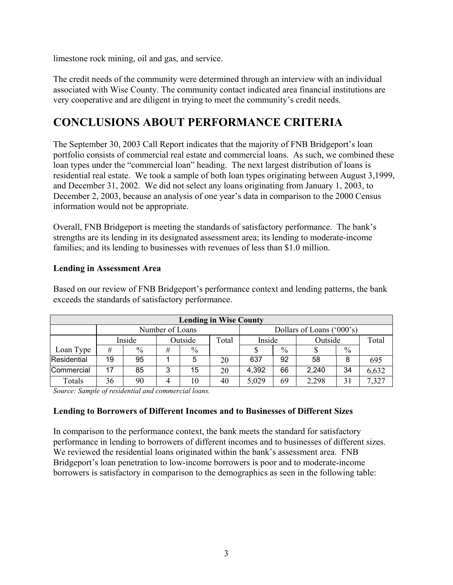limestone rock mining, oil and gas, and service.

The credit needs of the community were determined through an interview with an individual associated with Wise County. The community contact indicated area financial institutions are very cooperative and are diligent in trying to meet the community's credit needs.

### **CONCLUSIONS ABOUT PERFORMANCE CRITERIA**

The September 30, 2003 Call Report indicates that the majority of FNB Bridgeport's loan portfolio consists of commercial real estate and commercial loans. As such, we combined these loan types under the "commercial loan" heading. The next largest distribution of loans is residential real estate. We took a sample of both loan types originating between August 3,1999, and December 31, 2002. We did not select any loans originating from January 1, 2003, to December 2, 2003, because an analysis of one year's data in comparison to the 2000 Census information would not be appropriate.

Overall, FNB Bridgeport is meeting the standards of satisfactory performance. The bank's strengths are its lending in its designated assessment area; its lending to moderate-income families; and its lending to businesses with revenues of less than \$1.0 million.

#### **Lending in Assessment Area**

| <b>Lending in Wise County</b> |                 |        |   |         |                           |        |      |         |      |       |
|-------------------------------|-----------------|--------|---|---------|---------------------------|--------|------|---------|------|-------|
|                               | Number of Loans |        |   |         | Dollars of Loans ('000's) |        |      |         |      |       |
|                               |                 | Inside |   | Outside | Total                     | Inside |      | Outside |      | Total |
| Loan Type                     | #               | $\%$   | # | $\%$    |                           |        | $\%$ |         | $\%$ |       |
| Residential                   | 19              | 95     |   | 5       | 20                        | 637    | 92   | 58      | 8    | 695   |
| Commercial                    | 17              | 85     | 3 | 15      | 20                        | 4,392  | 66   | 2,240   | 34   | 6,632 |
| Totals                        | 36              | 90     | 4 | 10      | 40                        | 5,029  | 69   | 2,298   | 31   | 7,327 |

Based on our review of FNB Bridgeport's performance context and lending patterns, the bank exceeds the standards of satisfactory performance.

*Source: Sample of residential and commercial loans.* 

#### **Lending to Borrowers of Different Incomes and to Businesses of Different Sizes**

In comparison to the performance context, the bank meets the standard for satisfactory performance in lending to borrowers of different incomes and to businesses of different sizes. We reviewed the residential loans originated within the bank's assessment area. FNB Bridgeport's loan penetration to low-income borrowers is poor and to moderate-income borrowers is satisfactory in comparison to the demographics as seen in the following table: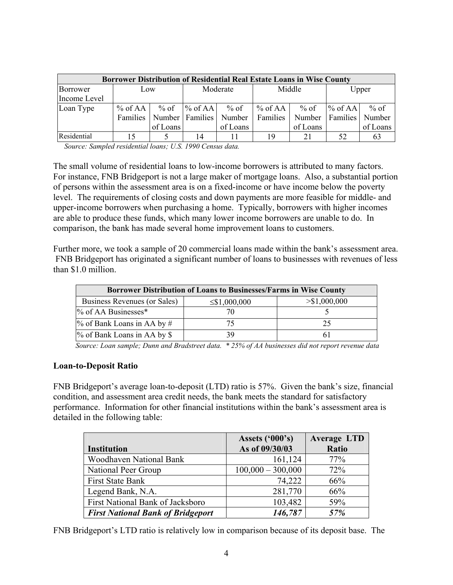| <b>Borrower Distribution of Residential Real Estate Loans in Wise County</b> |           |          |                              |          |           |          |                    |          |
|------------------------------------------------------------------------------|-----------|----------|------------------------------|----------|-----------|----------|--------------------|----------|
| Borrower                                                                     | Low       |          | Moderate                     |          | Middle    |          | Upper              |          |
| Income Level                                                                 |           |          |                              |          |           |          |                    |          |
| Loan Type                                                                    | $%$ of AA |          | $\%$ of $\%$ of AA           | $%$ of   | $%$ of AA |          | $\%$ of $\%$ of AA | $%$ of   |
|                                                                              |           |          | Families   Number   Families | Number   | Families  | Number   | Families   Number  |          |
|                                                                              |           | of Loans |                              | of Loans |           | of Loans |                    | of Loans |
| Residential                                                                  | 15        |          | 14                           |          | 19        | 21       | 52                 | 63       |

 *Source: Sampled residential loans; U.S. 1990 Census data.* 

The small volume of residential loans to low-income borrowers is attributed to many factors. For instance, FNB Bridgeport is not a large maker of mortgage loans. Also, a substantial portion of persons within the assessment area is on a fixed-income or have income below the poverty level. The requirements of closing costs and down payments are more feasible for middle- and upper-income borrowers when purchasing a home. Typically, borrowers with higher incomes are able to produce these funds, which many lower income borrowers are unable to do. In comparison, the bank has made several home improvement loans to customers.

Further more, we took a sample of 20 commercial loans made within the bank's assessment area. FNB Bridgeport has originated a significant number of loans to businesses with revenues of less than \$1.0 million.

| Borrower Distribution of Loans to Businesses/Farms in Wise County |                    |               |  |  |  |  |
|-------------------------------------------------------------------|--------------------|---------------|--|--|--|--|
| Business Revenues (or Sales)                                      | $\leq$ \$1,000,000 | > \$1,000,000 |  |  |  |  |
| $\%$ of AA Businesses*                                            |                    |               |  |  |  |  |
| $\%$ of Bank Loans in AA by #                                     |                    | 25            |  |  |  |  |
| $\%$ of Bank Loans in AA by \$                                    | 39                 |               |  |  |  |  |

 *Source: Loan sample; Dunn and Bradstreet data. \* 25% of AA businesses did not report revenue data* 

#### **Loan-to-Deposit Ratio**

FNB Bridgeport's average loan-to-deposit (LTD) ratio is 57%. Given the bank's size, financial condition, and assessment area credit needs, the bank meets the standard for satisfactory performance. Information for other financial institutions within the bank's assessment area is detailed in the following table:

|                                          | Assets $('000's)$   | <b>Average LTD</b> |
|------------------------------------------|---------------------|--------------------|
| <b>Institution</b>                       | As of 09/30/03      | Ratio              |
| <b>Woodhaven National Bank</b>           | 161,124             | 77%                |
| National Peer Group                      | $100,000 - 300,000$ | 72%                |
| <b>First State Bank</b>                  | 74,222              | 66%                |
| Legend Bank, N.A.                        | 281,770             | 66%                |
| First National Bank of Jacksboro         | 103,482             | 59%                |
| <b>First National Bank of Bridgeport</b> | 146,787             | 57%                |

FNB Bridgeport's LTD ratio is relatively low in comparison because of its deposit base. The